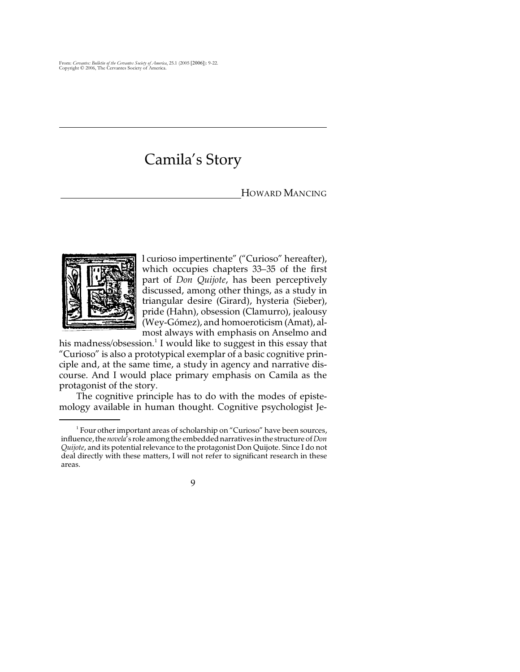## Camila's Story

## HOWARD MANCING



l curioso impertinente" ("Curioso" hereafter), which occupies chapters 33–35 of the first part of *Don Quijote*, has been perceptively discussed, among other things, as a study in triangular desire (Girard), hysteria (Sieber), pride (Hahn), obsession (Clamurro), jealousy (Wey-Gómez), and homoeroticism (Amat), almost always with emphasis on Anselmo and

his madness/ $\alpha$ bsession.<sup>1</sup> I would like to suggest in this essay that "Curioso" is also a prototypical exemplar of a basic cognitive principle and, at the same time, a study in agency and narrative discourse. And I would place primary emphasis on Camila as the protagonist of the story.

The cognitive principle has to do with the modes of epistemology available in human thought. Cognitive psychologist Je-

 $<sup>1</sup>$  Four other important areas of scholarship on "Curioso" have been sources,</sup> influence, the *novela*'s role among the embedded narratives in the structure of *Don Quijote*, and its potential relevance to the protagonist Don Quijote. Since I do not deal directly with these matters, I will not refer to significant research in these areas.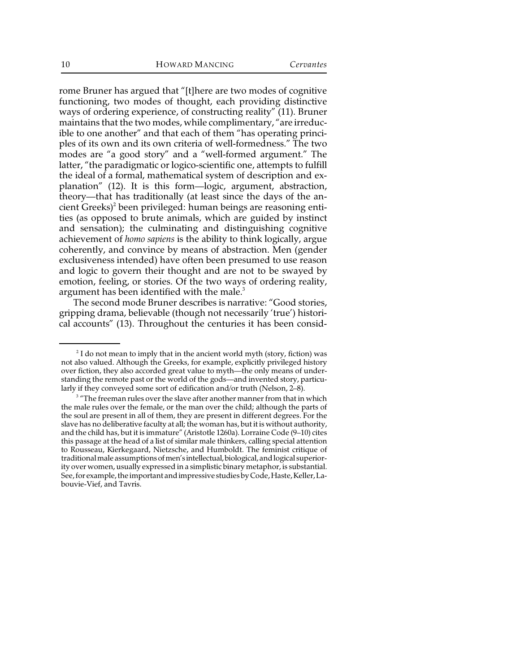rome Bruner has argued that "[t]here are two modes of cognitive functioning, two modes of thought, each providing distinctive ways of ordering experience, of constructing reality" (11). Bruner maintains that the two modes, while complimentary, "are irreducible to one another" and that each of them "has operating principles of its own and its own criteria of well-formedness." The two modes are "a good story" and a "well-formed argument." The latter, "the paradigmatic or logico-scientific one, attempts to fulfill the ideal of a formal, mathematical system of description and explanation" (12). It is this form—logic, argument, abstraction, theory—that has traditionally (at least since the days of the ancient Greeks)<sup>2</sup> been privileged: human beings are reasoning entities (as opposed to brute animals, which are guided by instinct and sensation); the culminating and distinguishing cognitive achievement of *homo sapiens* is the ability to think logically, argue coherently, and convince by means of abstraction. Men (gender exclusiveness intended) have often been presumed to use reason and logic to govern their thought and are not to be swayed by emotion, feeling, or stories. Of the two ways of ordering reality, argument has been identified with the male.<sup>3</sup>

 The second mode Bruner describes is narrative: "Good stories, gripping drama, believable (though not necessarily 'true') historical accounts" (13). Throughout the centuries it has been consid-

 $2$ I do not mean to imply that in the ancient world myth (story, fiction) was not also valued. Although the Greeks, for example, explicitly privileged history over fiction, they also accorded great value to myth—the only means of understanding the remote past or the world of the gods—and invented story, particularly if they conveyed some sort of edification and/or truth (Nelson, 2–8).

<sup>&</sup>lt;sup>3</sup> "The freeman rules over the slave after another manner from that in which the male rules over the female, or the man over the child; although the parts of the soul are present in all of them, they are present in different degrees. For the slave has no deliberative faculty at all; the woman has, but it is without authority, and the child has, but it is immature" (Aristotle 1260a). Lorraine Code (9–10) cites this passage at the head of a list of similar male thinkers, calling special attention to Rousseau, Kierkegaard, Nietzsche, and Humboldt. The feminist critique of traditional male assumptions of men's intellectual, biological, and logical superiority over women, usually expressed in a simplistic binary metaphor, is substantial. See, for example, the important and impressive studies by Code, Haste, Keller, Labouvie-Vief, and Tavris.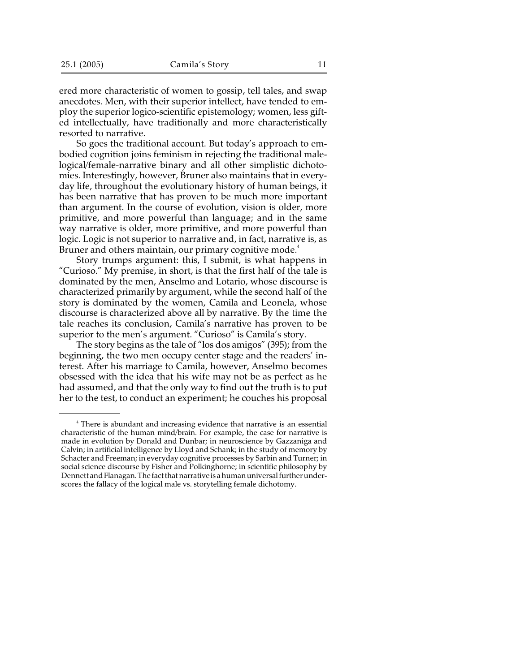ered more characteristic of women to gossip, tell tales, and swap anecdotes. Men, with their superior intellect, have tended to employ the superior logico-scientific epistemology; women, less gifted intellectually, have traditionally and more characteristically resorted to narrative.

So goes the traditional account. But today's approach to embodied cognition joins feminism in rejecting the traditional malelogical/female-narrative binary and all other simplistic dichotomies. Interestingly, however, Bruner also maintains that in everyday life, throughout the evolutionary history of human beings, it has been narrative that has proven to be much more important than argument. In the course of evolution, vision is older, more primitive, and more powerful than language; and in the same way narrative is older, more primitive, and more powerful than logic. Logic is not superior to narrative and, in fact, narrative is, as Bruner and others maintain, our primary cognitive mode.<sup>4</sup>

Story trumps argument: this, I submit, is what happens in "Curioso." My premise, in short, is that the first half of the tale is dominated by the men, Anselmo and Lotario, whose discourse is characterized primarily by argument, while the second half of the story is dominated by the women, Camila and Leonela, whose discourse is characterized above all by narrative. By the time the tale reaches its conclusion, Camila's narrative has proven to be superior to the men's argument. "Curioso" is Camila's story.

The story begins as the tale of "los dos amigos" (395); from the beginning, the two men occupy center stage and the readers' interest. After his marriage to Camila, however, Anselmo becomes obsessed with the idea that his wife may not be as perfect as he had assumed, and that the only way to find out the truth is to put her to the test, to conduct an experiment; he couches his proposal

<sup>&</sup>lt;sup>4</sup> There is abundant and increasing evidence that narrative is an essential characteristic of the human mind/brain. For example, the case for narrative is made in evolution by Donald and Dunbar; in neuroscience by Gazzaniga and Calvin; in artificial intelligence by Lloyd and Schank; in the study of memory by Schacter and Freeman; in everyday cognitive processes by Sarbin and Turner; in social science discourse by Fisher and Polkinghorne; in scientific philosophy by Dennett and Flanagan. The fact that narrative is a human universal further underscores the fallacy of the logical male vs. storytelling female dichotomy.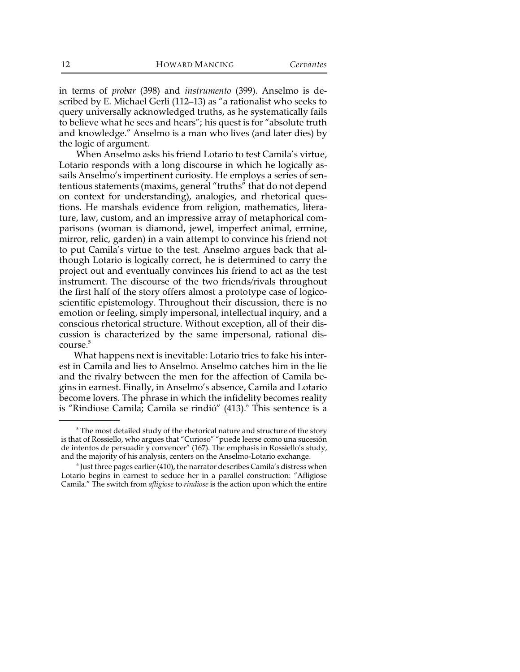in terms of *probar* (398) and *instrumento* (399). Anselmo is described by E. Michael Gerli (112–13) as "a rationalist who seeks to query universally acknowledged truths, as he systematically fails to believe what he sees and hears"; his quest is for "absolute truth and knowledge." Anselmo is a man who lives (and later dies) by the logic of argument.

When Anselmo asks his friend Lotario to test Camila's virtue, Lotario responds with a long discourse in which he logically assails Anselmo's impertinent curiosity. He employs a series of sententious statements (maxims, general "truths" that do not depend on context for understanding), analogies, and rhetorical questions. He marshals evidence from religion, mathematics, literature, law, custom, and an impressive array of metaphorical comparisons (woman is diamond, jewel, imperfect animal, ermine, mirror, relic, garden) in a vain attempt to convince his friend not to put Camila's virtue to the test. Anselmo argues back that although Lotario is logically correct, he is determined to carry the project out and eventually convinces his friend to act as the test instrument. The discourse of the two friends/rivals throughout the first half of the story offers almost a prototype case of logicoscientific epistemology. Throughout their discussion, there is no emotion or feeling, simply impersonal, intellectual inquiry, and a conscious rhetorical structure. Without exception, all of their discussion is characterized by the same impersonal, rational dis $const$ e $^5$ 

 What happens next is inevitable: Lotario tries to fake his interest in Camila and lies to Anselmo. Anselmo catches him in the lie and the rivalry between the men for the affection of Camila begins in earnest. Finally, in Anselmo's absence, Camila and Lotario become lovers. The phrase in which the infidelity becomes reality is "Rindiose Camila; Camila se rindió" (413).<sup>6</sup> This sentence is a

 $5$  The most detailed study of the rhetorical nature and structure of the story is that of Rossiello, who argues that "Curioso" "puede leerse como una sucesión de intentos de persuadir y convencer" (167). The emphasis in Rossiello's study, and the majority of his analysis, centers on the Anselmo-Lotario exchange.

 $\delta$  Just three pages earlier (410), the narrator describes Camila's distress when Lotario begins in earnest to seduce her in a parallel construction: "Afligiose Camila." The switch from *afligiose* to *rindiose* is the action upon which the entire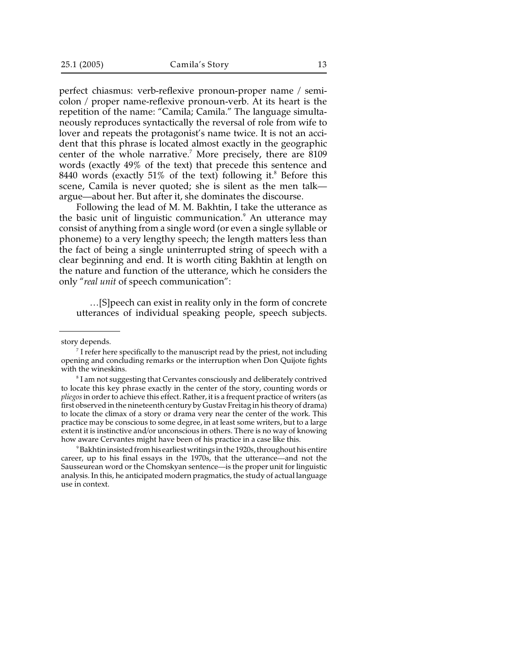perfect chiasmus: verb-reflexive pronoun-proper name / semicolon / proper name-reflexive pronoun-verb. At its heart is the repetition of the name: "Camila; Camila." The language simultaneously reproduces syntactically the reversal of role from wife to lover and repeats the protagonist's name twice. It is not an accident that this phrase is located almost exactly in the geographic center of the whole narrative.<sup>7</sup> More precisely, there are  $8109$ words (exactly 49% of the text) that precede this sentence and 8440 words (exactly 51% of the text) following it.<sup>8</sup> Before this scene, Camila is never quoted; she is silent as the men talk argue—about her. But after it, she dominates the discourse.

Following the lead of M. M. Bakhtin, I take the utterance as the basic unit of linguistic communication.<sup>9</sup> An utterance may consist of anything from a single word (or even a single syllable or phoneme) to a very lengthy speech; the length matters less than the fact of being a single uninterrupted string of speech with a clear beginning and end. It is worth citing Bakhtin at length on the nature and function of the utterance, which he considers the only "*real unit* of speech communication":

…[S]peech can exist in reality only in the form of concrete utterances of individual speaking people, speech subjects.

story depends.

<sup>9</sup> Bakhtin insisted from his earliest writings in the 1920s, throughout his entire career, up to his final essays in the 1970s, that the utterance—and not the Sausseurean word or the Chomskyan sentence—is the proper unit for linguistic analysis. In this, he anticipated modern pragmatics, the study of actual language use in context.

 $\sigma$  I refer here specifically to the manuscript read by the priest, not including opening and concluding remarks or the interruption when Don Quijote fights with the wineskins.

 ${}^{8}$  I am not suggesting that Cervantes consciously and deliberately contrived to locate this key phrase exactly in the center of the story, counting words or *pliegos* in order to achieve this effect. Rather, it is a frequent practice of writers (as first observed in the nineteenth century by Gustav Freitag in his theory of drama) to locate the climax of a story or drama very near the center of the work. This practice may be conscious to some degree, in at least some writers, but to a large extent it is instinctive and/or unconscious in others. There is no way of knowing how aware Cervantes might have been of his practice in a case like this.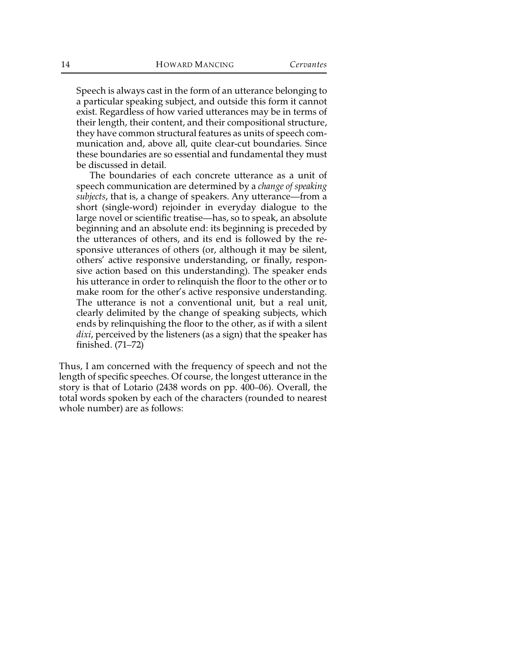Speech is always cast in the form of an utterance belonging to a particular speaking subject, and outside this form it cannot exist. Regardless of how varied utterances may be in terms of their length, their content, and their compositional structure, they have common structural features as units of speech communication and, above all, quite clear-cut boundaries. Since these boundaries are so essential and fundamental they must be discussed in detail.

The boundaries of each concrete utterance as a unit of speech communication are determined by a *change of speaking subjects*, that is, a change of speakers. Any utterance—from a short (single-word) rejoinder in everyday dialogue to the large novel or scientific treatise—has, so to speak, an absolute beginning and an absolute end: its beginning is preceded by the utterances of others, and its end is followed by the responsive utterances of others (or, although it may be silent, others' active responsive understanding, or finally, responsive action based on this understanding). The speaker ends his utterance in order to relinquish the floor to the other or to make room for the other's active responsive understanding. The utterance is not a conventional unit, but a real unit, clearly delimited by the change of speaking subjects, which ends by relinquishing the floor to the other, as if with a silent *dixi*, perceived by the listeners (as a sign) that the speaker has finished. (71–72)

Thus, I am concerned with the frequency of speech and not the length of specific speeches. Of course, the longest utterance in the story is that of Lotario (2438 words on pp. 400–06). Overall, the total words spoken by each of the characters (rounded to nearest whole number) are as follows: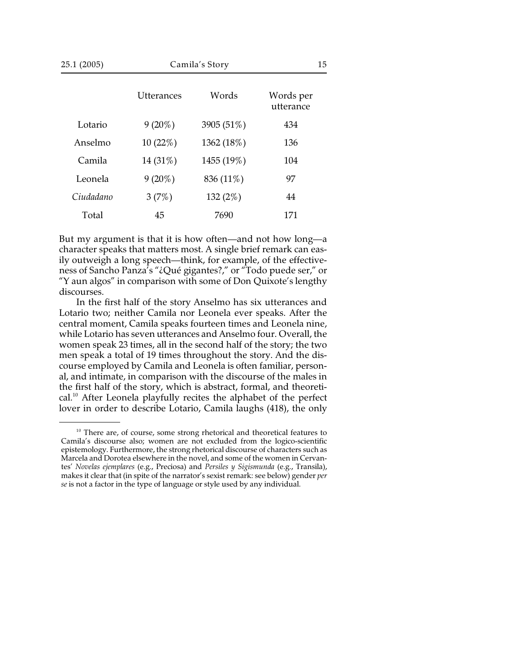| 25.1 (2005) | Camila's Story    |            | 15                     |  |
|-------------|-------------------|------------|------------------------|--|
|             | <b>Utterances</b> | Words      | Words per<br>utterance |  |
| Lotario     | $9(20\%)$         | 3905 (51%) | 434                    |  |
| Anselmo     | 10(22%)           | 1362 (18%) | 136                    |  |
| Camila      | 14 (31%)          | 1455 (19%) | 104                    |  |
| Leonela     | $9(20\%)$         | 836 (11%)  | 97                     |  |
| Ciudadano   | 3(7%)             | 132 $(2%)$ | 44                     |  |
| Total       | 45                | 7690       | 171                    |  |

But my argument is that it is how often—and not how long—a character speaks that matters most. A single brief remark can easily outweigh a long speech—think, for example, of the effectiveness of Sancho Panza's "¿Qué gigantes?," or "Todo puede ser," or "Y aun algos" in comparison with some of Don Quixote's lengthy discourses.

In the first half of the story Anselmo has six utterances and Lotario two; neither Camila nor Leonela ever speaks. After the central moment, Camila speaks fourteen times and Leonela nine, while Lotario has seven utterances and Anselmo four. Overall, the women speak 23 times, all in the second half of the story; the two men speak a total of 19 times throughout the story. And the discourse employed by Camila and Leonela is often familiar, personal, and intimate, in comparison with the discourse of the males in the first half of the story, which is abstract, formal, and theoreti $cal<sup>10</sup>$ . After Leonela playfully recites the alphabet of the perfect lover in order to describe Lotario, Camila laughs (418), the only

 $10$  There are, of course, some strong rhetorical and theoretical features to Camila's discourse also; women are not excluded from the logico-scientific epistemology. Furthermore, the strong rhetorical discourse of characters such as Marcela and Dorotea elsewhere in the novel, and some of the women in Cervantes' *Novelas ejemplares* (e.g., Preciosa) and *Persiles y Sigismunda* (e.g., Transila), makes it clear that (in spite of the narrator's sexist remark: see below) gender *per se* is not a factor in the type of language or style used by any individual.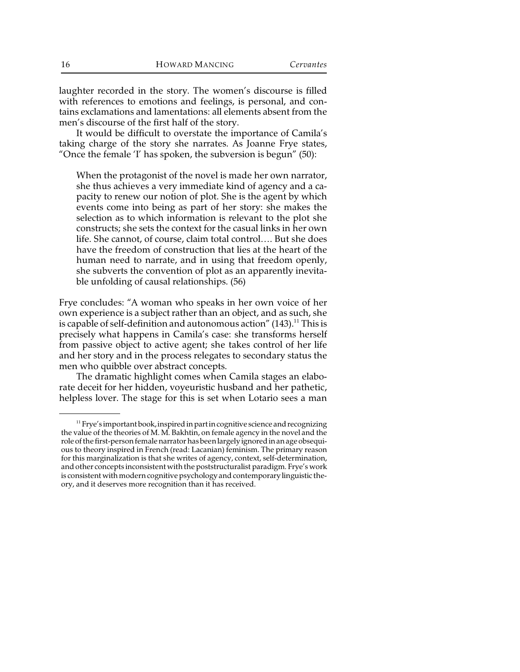laughter recorded in the story. The women's discourse is filled with references to emotions and feelings, is personal, and contains exclamations and lamentations: all elements absent from the men's discourse of the first half of the story.

It would be difficult to overstate the importance of Camila's taking charge of the story she narrates. As Joanne Frye states, "Once the female 'I' has spoken, the subversion is begun" (50):

When the protagonist of the novel is made her own narrator, she thus achieves a very immediate kind of agency and a capacity to renew our notion of plot. She is the agent by which events come into being as part of her story: she makes the selection as to which information is relevant to the plot she constructs; she sets the context for the casual links in her own life. She cannot, of course, claim total control…. But she does have the freedom of construction that lies at the heart of the human need to narrate, and in using that freedom openly, she subverts the convention of plot as an apparently inevitable unfolding of causal relationships. (56)

Frye concludes: "A woman who speaks in her own voice of her own experience is a subject rather than an object, and as such, she is capable of self-definition and autonomous action"  $(143)$ .<sup>11</sup> This is precisely what happens in Camila's case: she transforms herself from passive object to active agent; she takes control of her life and her story and in the process relegates to secondary status the men who quibble over abstract concepts.

The dramatic highlight comes when Camila stages an elaborate deceit for her hidden, voyeuristic husband and her pathetic, helpless lover. The stage for this is set when Lotario sees a man

 $11$  Frye's important book, inspired in part in cognitive science and recognizing the value of the theories of M. M. Bakhtin, on female agency in the novel and the role of the first-person female narrator has been largely ignored in an age obsequious to theory inspired in French (read: Lacanian) feminism. The primary reason for this marginalization is that she writes of agency, context, self-determination, and other concepts inconsistent with the poststructuralist paradigm. Frye's work is consistent with modern cognitive psychology and contemporary linguistic theory, and it deserves more recognition than it has received.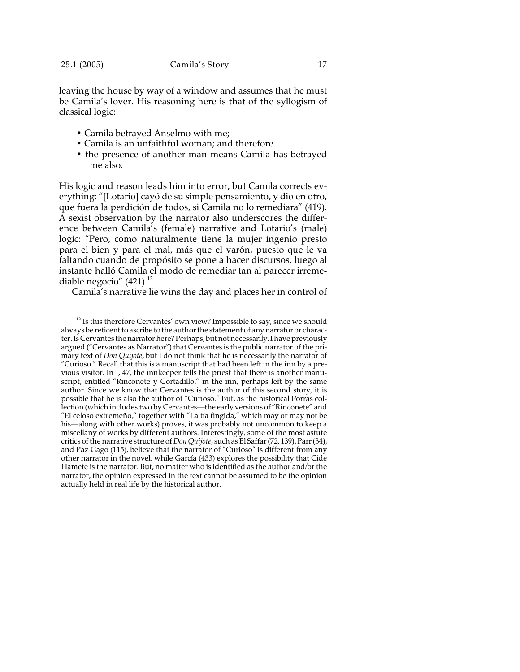leaving the house by way of a window and assumes that he must be Camila's lover. His reasoning here is that of the syllogism of classical logic:

- Camila betrayed Anselmo with me;
- Camila is an unfaithful woman; and therefore
- the presence of another man means Camila has betrayed me also.

His logic and reason leads him into error, but Camila corrects everything: "[Lotario] cayó de su simple pensamiento, y dio en otro, que fuera la perdición de todos, si Camila no lo remediara" (419). A sexist observation by the narrator also underscores the difference between Camila's (female) narrative and Lotario's (male) logic: "Pero, como naturalmente tiene la mujer ingenio presto para el bien y para el mal, más que el varón, puesto que le va faltando cuando de propósito se pone a hacer discursos, luego al instante halló Camila el modo de remediar tan al parecer irremediable negocio"  $(421).$ <sup>12</sup>

Camila's narrative lie wins the day and places her in control of

 $12$  Is this therefore Cervantes' own view? Impossible to say, since we should always be reticent to ascribe to the author the statement of any narrator or character. Is Cervantes the narrator here? Perhaps, but not necessarily. I have previously argued ("Cervantes as Narrator") that Cervantes is the public narrator of the primary text of *Don Quijote*, but I do not think that he is necessarily the narrator of "Curioso." Recall that this is a manuscript that had been left in the inn by a previous visitor. In I, 47, the innkeeper tells the priest that there is another manuscript, entitled "Rinconete y Cortadillo," in the inn, perhaps left by the same author. Since we know that Cervantes is the author of this second story, it is possible that he is also the author of "Curioso." But, as the historical Porras collection (which includes two by Cervantes—the early versions of "Rinconete" and "El celoso extremeño," together with "La tía fingida," which may or may not be his—along with other works) proves, it was probably not uncommon to keep a miscellany of works by different authors. Interestingly, some of the most astute critics of the narrative structure of *Don Quijote*, such as El Saffar (72, 139), Parr (34), and Paz Gago (115), believe that the narrator of "Curioso" is different from any other narrator in the novel, while García (433) explores the possibility that Cide Hamete is the narrator. But, no matter who is identified as the author and/or the narrator, the opinion expressed in the text cannot be assumed to be the opinion actually held in real life by the historical author.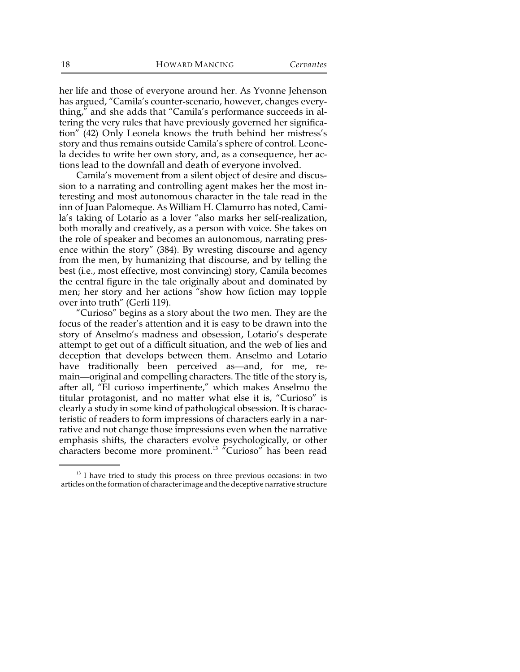her life and those of everyone around her. As Yvonne Jehenson has argued, "Camila's counter-scenario, however, changes everything," and she adds that "Camila's performance succeeds in altering the very rules that have previously governed her signification" (42) Only Leonela knows the truth behind her mistress's story and thus remains outside Camila's sphere of control. Leonela decides to write her own story, and, as a consequence, her actions lead to the downfall and death of everyone involved.

Camila's movement from a silent object of desire and discussion to a narrating and controlling agent makes her the most interesting and most autonomous character in the tale read in the inn of Juan Palomeque. As William H. Clamurro has noted, Camila's taking of Lotario as a lover "also marks her self-realization, both morally and creatively, as a person with voice. She takes on the role of speaker and becomes an autonomous, narrating presence within the story" (384). By wresting discourse and agency from the men, by humanizing that discourse, and by telling the best (i.e., most effective, most convincing) story, Camila becomes the central figure in the tale originally about and dominated by men; her story and her actions "show how fiction may topple over into truth" (Gerli 119).

"Curioso" begins as a story about the two men. They are the focus of the reader's attention and it is easy to be drawn into the story of Anselmo's madness and obsession, Lotario's desperate attempt to get out of a difficult situation, and the web of lies and deception that develops between them. Anselmo and Lotario have traditionally been perceived as—and, for me, remain—original and compelling characters. The title of the story is, after all, "El curioso impertinente," which makes Anselmo the titular protagonist, and no matter what else it is, "Curioso" is clearly a study in some kind of pathological obsession. It is characteristic of readers to form impressions of characters early in a narrative and not change those impressions even when the narrative emphasis shifts, the characters evolve psychologically, or other characters become more prominent.<sup>13</sup> "Curioso" has been read

 $13$  I have tried to study this process on three previous occasions: in two articles onthe formation of character image and the deceptive narrative structure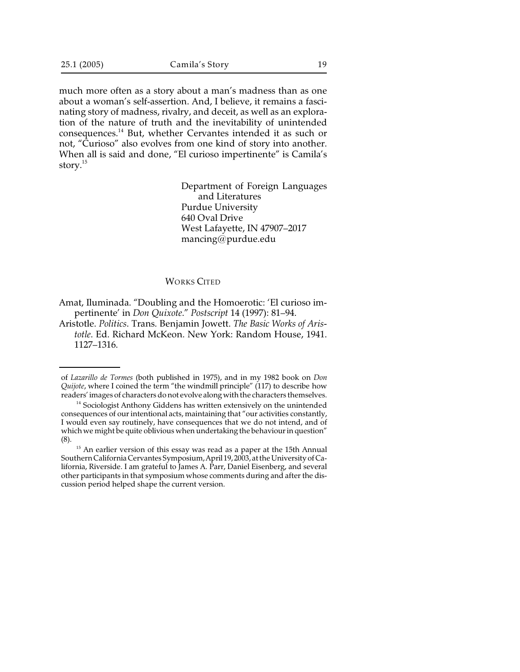much more often as a story about a man's madness than as one about a woman's self-assertion. And, I believe, it remains a fascinating story of madness, rivalry, and deceit, as well as an exploration of the nature of truth and the inevitability of unintended consequences.<sup>14</sup> But, whether Cervantes intended it as such or not, "Curioso" also evolves from one kind of story into another. When all is said and done, "El curioso impertinente" is Camila's story.<sup>15</sup>

> Department of Foreign Languages and Literatures Purdue University 640 Oval Drive West Lafayette, IN 47907–2017 mancing@purdue.edu

## WORKS CITED

Amat, Iluminada. "Doubling and the Homoerotic: 'El curioso impertinente' in *Don Quixote*." *Postscript* 14 (1997): 81–94.

Aristotle. *Politics*. Trans. Benjamin Jowett. *The Basic Works of Aristotle*. Ed. Richard McKeon. New York: Random House, 1941. 1127–1316.

of *Lazarillo de Tormes* (both published in 1975), and in my 1982 book on *Don Quijote*, where I coined the term "the windmill principle" (117) to describe how readers' images of characters donot evolve along with the characters themselves.

 $14$  Sociologist Anthony Giddens has written extensively on the unintended consequences of our intentional acts, maintaining that "our activities constantly, I would even say routinely, have consequences that we do not intend, and of which we might be quite oblivious when undertaking the behaviour in question" (8).

 $15$  An earlier version of this essay was read as a paper at the 15th Annual Southern California Cervantes Symposium, April 19, 2003, at the University of California, Riverside. I am grateful to James A. Parr, Daniel Eisenberg, and several other participants in that symposium whose comments during and after the discussion period helped shape the current version.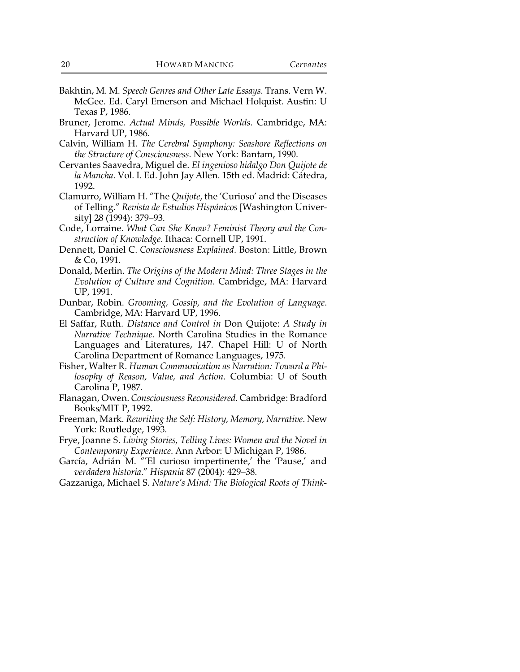- Bakhtin, M. M. *Speech Genres and Other Late Essays*. Trans. Vern W. McGee. Ed. Caryl Emerson and Michael Holquist. Austin: U Texas P, 1986.
- Bruner, Jerome. *Actual Minds, Possible Worlds*. Cambridge, MA: Harvard UP, 1986.
- Calvin, William H. *The Cerebral Symphony: Seashore Reflections on the Structure of Consciousness*. New York: Bantam, 1990.
- Cervantes Saavedra, Miguel de. *El ingenioso hidalgo Don Quijote de la Mancha*. Vol. I. Ed. John Jay Allen. 15th ed. Madrid: Cátedra, 1992.
- Clamurro, William H. "The *Quijote*, the 'Curioso' and the Diseases of Telling." *Revista de Estudios Hispánicos* [Washington University] 28 (1994): 379–93.
- Code, Lorraine. *What Can She Know? Feminist Theory and the Construction of Knowledge*. Ithaca: Cornell UP, 1991.
- Dennett, Daniel C. *Consciousness Explained*. Boston: Little, Brown & Co, 1991.
- Donald, Merlin. *The Origins of the Modern Mind: Three Stages in the Evolution of Culture and Cognition*. Cambridge, MA: Harvard UP, 1991.
- Dunbar, Robin. *Grooming, Gossip, and the Evolution of Language*. Cambridge, MA: Harvard UP, 1996.
- El Saffar, Ruth. *Distance and Control in* Don Quijote: *A Study in Narrative Technique*. North Carolina Studies in the Romance Languages and Literatures, 147. Chapel Hill: U of North Carolina Department of Romance Languages, 1975.
- Fisher, Walter R. *Human Communication as Narration: Toward a Philosophy of Reason, Value, and Action*. Columbia: U of South Carolina P, 1987.
- Flanagan, Owen. *Consciousness Reconsidered*. Cambridge: Bradford Books/MIT P, 1992.
- Freeman, Mark. *Rewriting the Self: History, Memory, Narrative*. New York: Routledge, 1993.
- Frye, Joanne S. *Living Stories, Telling Lives: Women and the Novel in Contemporary Experience*. Ann Arbor: U Michigan P, 1986.
- García, Adrián M. "'El curioso impertinente,' the 'Pause,' and *verdadera historia*." *Hispania* 87 (2004): 429–38.
- Gazzaniga, Michael S. *Nature's Mind: The Biological Roots of Think-*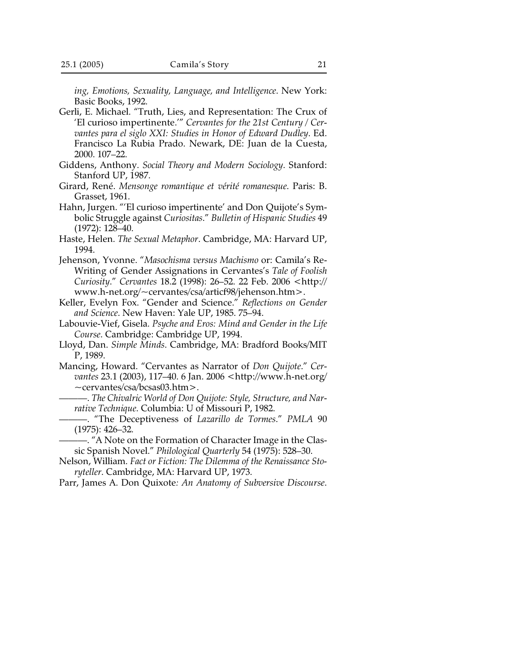*ing, Emotions, Sexuality, Language, and Intelligence*. New York: Basic Books, 1992.

- Gerli, E. Michael. "Truth, Lies, and Representation: The Crux of 'El curioso impertinente.'" *Cervantes for the 21st Century / Cervantes para el siglo XXI: Studies in Honor of Edward Dudley*. Ed. Francisco La Rubia Prado. Newark, DE: Juan de la Cuesta, 2000. 107–22.
- Giddens, Anthony. *Social Theory and Modern Sociology*. Stanford: Stanford UP, 1987.
- Girard, René. *Mensonge romantique et vérité romanesque*. Paris: B. Grasset, 1961.
- Hahn, Jurgen. "'El curioso impertinente' and Don Quijote's Symbolic Struggle against *Curiositas*." *Bulletin of Hispanic Studies* 49 (1972): 128–40.
- Haste, Helen. *The Sexual Metaphor*. Cambridge, MA: Harvard UP, 1994.
- Jehenson, Yvonne. "*Masochisma versus Machismo* or: Camila's Re-Writing of Gender Assignations in Cervantes's *Tale of Foolish Curiosity*." *Cervantes* 18.2 (1998): 26–52. 22 Feb. 2006 <http:// www.h-net.org/~cervantes/csa/articf98/jehenson.htm>.
- Keller, Evelyn Fox. "Gender and Science." *Reflections on Gender and Science*. New Haven: Yale UP, 1985. 75–94.
- Labouvie-Vief, Gisela. *Psyche and Eros: Mind and Gender in the Life Course*. Cambridge: Cambridge UP, 1994.
- Lloyd, Dan. *Simple Minds*. Cambridge, MA: Bradford Books/MIT P, 1989.
- Mancing, Howard. "Cervantes as Narrator of *Don Quijote*." *Cervantes* 23.1 (2003), 117–40. 6 Jan. 2006 <http://www.h-net.org/ ~cervantes/csa/bcsas03.htm>.
	- ———. *The Chivalric World of Don Quijote: Style, Structure, and Narrative Technique*. Columbia: U of Missouri P, 1982.
	- ———. "The Deceptiveness of *Lazarillo de Tormes*." *PMLA* 90 (1975): 426–32.
	- ———. "A Note on the Formation of Character Image in the Classic Spanish Novel." *Philological Quarterly* 54 (1975): 528–30.
- Nelson, William. *Fact or Fiction: The Dilemma of the Renaissance Storyteller*. Cambridge, MA: Harvard UP, 1973.
- Parr, James A. Don Quixote*: An Anatomy of Subversive Discourse*.